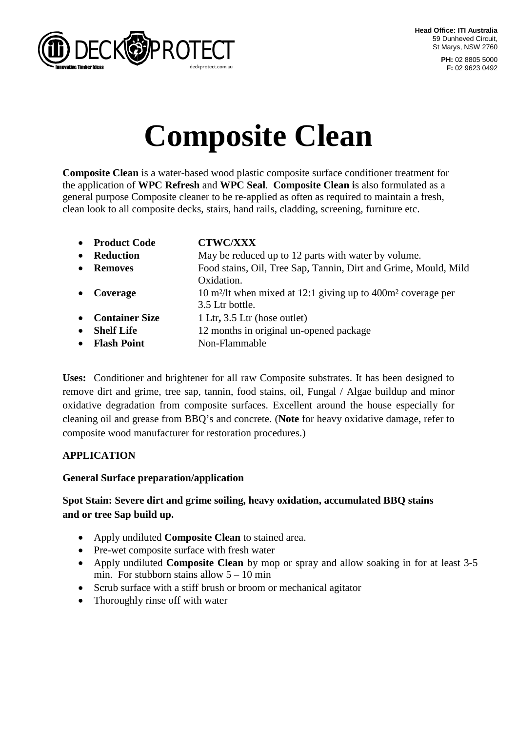

**PH:** 02 8805 5000 **F:** 02 9623 0492

# **Composite Clean**

**Composite Clean** is a water-based wood plastic composite surface conditioner treatment for the application of **WPC Refresh** and **WPC Seal**. **Composite Clean i**s also formulated as a general purpose Composite cleaner to be re-applied as often as required to maintain a fresh, clean look to all composite decks, stairs, hand rails, cladding, screening, furniture etc.

| $\bullet$ | <b>Product Code</b>   | <b>CTWC/XXX</b>                                                                      |
|-----------|-----------------------|--------------------------------------------------------------------------------------|
| $\bullet$ | <b>Reduction</b>      | May be reduced up to 12 parts with water by volume.                                  |
|           | <b>Removes</b>        | Food stains, Oil, Tree Sap, Tannin, Dirt and Grime, Mould, Mild                      |
|           |                       | Oxidation.                                                                           |
| $\bullet$ | Coverage              | 10 m <sup>2</sup> /lt when mixed at 12:1 giving up to 400m <sup>2</sup> coverage per |
|           |                       | 3.5 Ltr bottle.                                                                      |
| $\bullet$ | <b>Container Size</b> | 1 Ltr, 3.5 Ltr (hose outlet)                                                         |
| $\bullet$ | <b>Shelf Life</b>     | 12 months in original un-opened package                                              |
| $\bullet$ | <b>Flash Point</b>    | Non-Flammable                                                                        |

**Uses:** Conditioner and brightener for all raw Composite substrates. It has been designed to remove dirt and grime, tree sap, tannin, food stains, oil, Fungal / Algae buildup and minor oxidative degradation from composite surfaces. Excellent around the house especially for cleaning oil and grease from BBQ's and concrete. (**Note** for heavy oxidative damage, refer to composite wood manufacturer for restoration procedures.)

## **APPLICATION**

#### **General Surface preparation/application**

## **Spot Stain: Severe dirt and grime soiling, heavy oxidation, accumulated BBQ stains and or tree Sap build up.**

- Apply undiluted **Composite Clean** to stained area.
- Pre-wet composite surface with fresh water
- Apply undiluted **Composite Clean** by mop or spray and allow soaking in for at least 3-5 min. For stubborn stains allow  $5 - 10$  min
- Scrub surface with a stiff brush or broom or mechanical agitator
- Thoroughly rinse off with water